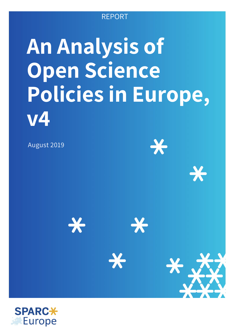### REPORT

# **An Analysis of Open Science Policies in Europe, v4**

August 2019

 $\rightarrow$ 

**X** 

**X** 

 $\boldsymbol{\times}$ 

X-



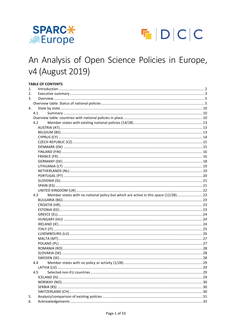



### An Analysis of Open Science Policies in Europe, v4 (August 2019)

#### **TABLE OF CONTENTS**

| 1. | Introduction 22                                                                            |     |
|----|--------------------------------------------------------------------------------------------|-----|
| 2. |                                                                                            |     |
| 3. |                                                                                            |     |
|    |                                                                                            |     |
| 4. |                                                                                            |     |
|    | 4.1                                                                                        |     |
|    |                                                                                            |     |
|    | 4.2                                                                                        |     |
|    |                                                                                            |     |
|    |                                                                                            |     |
|    |                                                                                            |     |
|    |                                                                                            |     |
|    |                                                                                            |     |
|    |                                                                                            |     |
|    |                                                                                            |     |
|    |                                                                                            |     |
|    |                                                                                            |     |
|    |                                                                                            |     |
|    |                                                                                            |     |
|    |                                                                                            |     |
|    |                                                                                            |     |
|    |                                                                                            |     |
|    |                                                                                            |     |
|    | Member states with no national policy but which are active in this space (12/28) 23<br>4.3 |     |
|    |                                                                                            |     |
|    |                                                                                            |     |
|    |                                                                                            |     |
|    |                                                                                            |     |
|    |                                                                                            |     |
|    |                                                                                            |     |
|    |                                                                                            |     |
|    |                                                                                            |     |
|    |                                                                                            |     |
|    |                                                                                            |     |
|    |                                                                                            |     |
|    |                                                                                            |     |
|    |                                                                                            |     |
|    | 44                                                                                         | .29 |
|    |                                                                                            |     |
|    | 4.5                                                                                        |     |
|    |                                                                                            |     |
|    |                                                                                            |     |
|    |                                                                                            |     |
|    |                                                                                            |     |
| 5. |                                                                                            |     |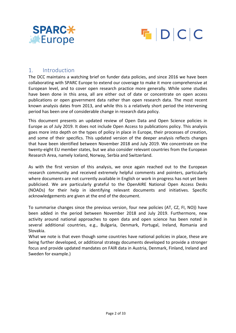



#### 1. Introduction

The DCC maintains a watching brief on funder data policies, and since 2016 we have been collaborating with SPARC Europe to extend our coverage to make it more comprehensive at European level, and to cover open research practice more generally. While some studies have been done in this area, all are either out of date or concentrate on open access publications or open government data rather than open research data. The most recent known analysis dates from 2013, and while this is a relatively short period the intervening period has been one of considerable change in research data policy.

This document presents an updated review of Open Data and Open Science policies in Europe as of July 2019. It does not include Open Access to publications policy. This analysis goes more into depth on the types of policy in place in Europe, their processes of creation, and some of their specifics. This updated version of the deeper analysis reflects changes that have been identified between November 2018 and July 2019. We concentrate on the twenty-eight EU member states, but we also consider relevant countries from the European Research Area, namely Iceland, Norway, Serbia and Switzerland.

As with the first version of this analysis, we once again reached out to the European research community and received extremely helpful comments and pointers, particularly where documents are not currently available in English or work in progress has not yet been publicised. We are particularly grateful to the OpenAIRE National Open Access Desks (NOADs) for their help in identifying relevant documents and initiatives. Specific acknowledgements are given at the end of the document.

To summarise changes since the previous version, four new policies (AT, CZ, FI, NO)) have been added in the period between November 2018 and July 2019. Furthermore, new activity around national approaches to open data and open science has been noted in several additional countries, e.g., Bulgaria, Denmark, Portugal, Ireland, Romania and Slovakia.

What we note is that even though some countries have national policies in place, these are being further developed, or additional strategy documents developed to provide a stronger focus and provide updated mandates on FAIR data in Austria, Denmark, Finland, Ireland and Sweden for example.)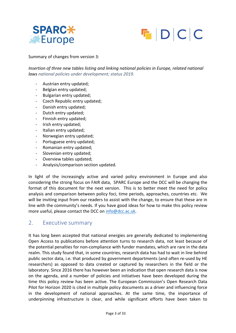



Summary of changes from version 3:

*Insertion of three new tables listing and linking national policies in Europe, related national laws national policies under development; status 2019.*

- Austrian entry updated;
- Belgian entry updated;
- Bulgarian entry updated;
- Czech Republic entry updated;
- Danish entry updated;
- Dutch entry updated;
- Finnish entry updated;
- Irish entry updated;
- Italian entry updated;
- Norwegian entry updated;
- Portuguese entry updated;
- Romanian entry updated;
- Slovenian entry updated;
- Overview tables updated;
- Analysis/comparison section updated.

In light of the increasingly active and varied policy environment in Europe and also considering the strong focus on FAIR data, SPARC Europe and the DCC will be changing the format of this document for the next version. This is to better meet the need for policy analysis and comparison between policy foci, time periods, approaches, countries etc. We will be inviting input from our readers to assist with the change, to ensure that these are in line with the community's needs. If you have good ideas for how to make this policy review more useful, please contact the DCC on info@dcc.ac.uk.

#### 2. Executive summary

It has long been accepted that national energies are generally dedicated to implementing Open Access to publications before attention turns to research data, not least because of the potential penalties for non-compliance with funder mandates, which are rare in the data realm. This study found that, in some countries, research data has had to wait in line behind public sector data, i.e. that produced by government departments (and often re-used by HE researchers) as opposed to data created or captured by researchers in the field or the laboratory. Since 2016 there has however been an indication that open research data is now on the agenda, and a number of policies and initiatives have been developed during the time this policy review has been active. The European Commission's Open Research Data Pilot for Horizon 2020 is cited in multiple policy documents as a driver and influencing force in the development of national approaches. At the same time, the importance of underpinning infrastructure is clear, and while significant efforts have been taken to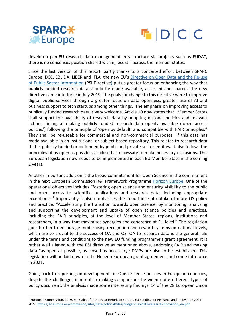



develop a pan-EU research data management infrastructure via projects such as EUDAT, there is no consensus position shared within, less still across, the member states.

Since the last version of this report, partly thanks to a concerted effort between SPARC Europe, DCC, EBLIDA, LIBER and IFLA, the new EU's Directive on Open Data and the Re-use of Public Sector Information (PSI Directive) puts a greater focus on enhancing the way that publicly funded research data should be made available, accessed and shared. The new directive came into force in July 2019. The goals for change to this directive were to improve digital public services through a greater focus on data openness, greater use of AI and business support to tech startups among other things. The emphasis on improving access to publically funded research data is very welcome. Article 10 now states that "Member States shall support the availability of research data by adopting national policies and relevant actions aiming at making publicly funded research data openly available ('open access policies') following the principle of 'open by default' and compatible with FAIR principles." They shall be re-useable for commercial and non-commercial purposes if this data has made available in an institutional or subject-based repository. This relates to research data that is publicly funded or co-funded by public and private-sector entities. It also follows the principles of as open as possible, as closed as necessary to make necessary exclusions. This European legislation now needs to be implemented in each EU Member State in the coming 2 years. 

Another important addition is the broad committment for Open Science in the commitment in the next European Commission R&I Framework Programme Horizon Europe. One of the operational objectives includes "fostering open science and ensuring visibility to the public and open access to scientific publications and research data, including appropriate exceptions."<sup>1</sup> Importantly it also emphasises the importance of uptake of more OS policy and practice: "Accelerating the transition towards open science, by monitoring, analysing and supporting the development and uptake of open science policies and practices, including the FAIR principles, at the level of Member States, regions, institutions and researchers, in a way that maximises synergies and coherence at EU level." The regulation goes further to encourage modernising recognition and reward systems on national levels, which are so crucial to the success of OA and OS. OA to research data is the general rule under the terms and conditions fo the new EU funding programme's grant agreement. It is rather well aligned with the PSI directive as mentioned above, endorsing FAIR and making data "as open as possible, as closed as necessary'; DMPs are also to be established. This legislation will be laid down in the Horizon European grant agreement and come into force in 2021.

Going back to reporting on developments in Open Science policies in European countries, despite the challenges inherent in making comparisons between quite different types of policy document, the analysis made some interesting findings. 14 of the 28 European Union

 $1$  European Commission, 2019, EU Budget for the Future: Horizon Europe. EU Funding for Research and Innovation 2021-2027, https://ec.europa.eu/commission/sites/beta-political/files/budget-may2018-research-innovation\_en.pdf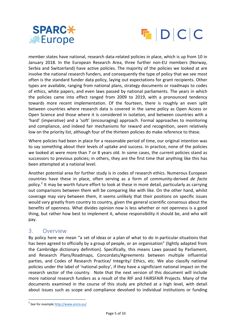



member states have national, research data-related policies in place, which is up from 10 in January 2018. In the European Research Area, three further non-EU members (Norway, Serbia and Switzerland) have active policies. The majority of the policies we looked at are involve the national research funders, and consequently the type of policy that we see most often is the standard funder data policy, laying out expectations for grant recipients. Other types are available, ranging from national plans, strategy documents or roadmaps to codes of ethics, white papers, and even laws passed by national parliaments. The years in which the policies came into effect ranged from 2009 to 2019, with a pronounced tendency towards more recent implementation. Of the fourteen, there is roughly an even split between countries where research data is covered in the same policy as Open Access or Open Science and those where it is considered in isolation, and between countries with a 'hard' (imperative) and a 'soft' (encouraging) approach. Formal approaches to monitoring and compliance, and indeed fair mechanisms for reward and recognition, seem relatively low on the priority list, although four of the thirteen policies do make reference to these.

Where policies had been in place for a reasonable period of time, our original intention was to say something about their levels of uptake and success. In practice, none of the policies we looked at were more than 7 or 8 years old. In some cases, the current policies stand as successors to previous policies; in others, they are the first time that anything like this has been attempted at a national level.

Another potential area for further study is in codes of research ethics. Numerous European countries have these in place, often serving as a form of community-derived *de facto* policy.<sup>2</sup> It may be worth future effort to look at these in more detail, particularly as carrying out comparisons between them will be comparing like with like. On the other hand, whilst coverage may vary between them, it seems unlikely that their positions on specific issues would vary greatly from country to country, given the general scientific consensus about the benefits of openness. What divides opinion now is less whether or not openness is a good thing, but rather how best to implement it, whose responsibility it should be, and who will pay.

#### 3. Overview

By policy here we mean "a set of ideas or a plan of what to do in particular situations that has been agreed to officially by a group of people, or an organisation" (lightly adapted from the Cambridge dictionary definition). Specifically, this means Laws passed by Parliament, and Research Plans/Roadmaps, Concordats/Agreements between multiple influential parties, and Codes of Research Practice/ Integrity/ Ethics, etc. We also classify national policies under the label of 'national policy', if they have a significiant national impact on the research sector of the country. Note that the next version of this document will include more national research funders as a result of the RIF and FAIRSFAIR Projects. Many of the documents examined in the course of this study are pitched at a high level, with detail about issues such as scope and compliance devolved to individual institutions or funding

<sup>&</sup>lt;sup>2</sup> See for example http://www.enrio.eu/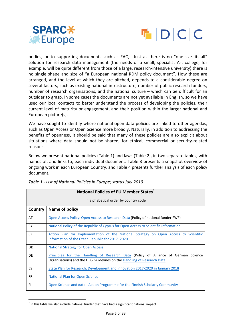



bodies, or to supporting documents such as FAQs. Just as there is no "one-size-fits-all" solution for research data management (the needs of a small, specialist Art college, for example, will be quite different from those of a large, research-intensive university) there is no single shape and size of "a European national RDM policy document". How these are arranged, and the level at which they are pitched, depends to a considerable degree on several factors, such as existing national infrastructure, number of public research funders, number of research organisations, and the national culture  $-$  which can be difficult for an outsider to grasp. In some cases the documents are not yet available in English, so we have used our local contacts to better understand the process of developing the policies, their current level of maturity or engagement, and their position within the larger national and European picture(s).

We have sought to identify where national open data policies are linked to other agendas, such as Open Access or Open Science more broadly. Naturally, in addition to addressing the benefits of openness, it should be said that many of these policies are also explicit about situations where data should not be shared, for ethical, commercial or security-related reasons.

Below we present national policies (Table 1) and laws (Table 2), in two separate tables, with names of, and links to, each individual document. Table 3 presents a snapshot overview of ongoing work in each European Country, and Table 4 presents further analysis of each policy document. 

|           | National Policies of EU Member States <sup>3</sup>                                                                                                           |  |  |  |  |  |  |  |
|-----------|--------------------------------------------------------------------------------------------------------------------------------------------------------------|--|--|--|--|--|--|--|
|           | In alphabetical order by country code                                                                                                                        |  |  |  |  |  |  |  |
| Country   | Name of policy                                                                                                                                               |  |  |  |  |  |  |  |
| AT        | Open Access Policy: Open Access to Research Data (Policy of national funder FWF)                                                                             |  |  |  |  |  |  |  |
| <b>CY</b> | National Policy of the Republic of Cyprus for Open Access to Scientific Information                                                                          |  |  |  |  |  |  |  |
| CZ        | Action Plan for Implementation of the National Strategy on Open Access to Scientific<br>Information of the Czech Republic for 2017-2020                      |  |  |  |  |  |  |  |
| <b>DK</b> | <b>National Strategy for Open Access</b>                                                                                                                     |  |  |  |  |  |  |  |
| DE        | Principles for the Handling of Research Data (Policy of Alliance of German Science<br>Organisations) and the DFG Guidelines on the Handling of Research Data |  |  |  |  |  |  |  |
| <b>ES</b> | State Plan for Research, Development and Innovation 2017-2020 in January 2018                                                                                |  |  |  |  |  |  |  |
| <b>FR</b> | National Plan for Open Science                                                                                                                               |  |  |  |  |  |  |  |
| FI.       | Open Science and data - Action Programme for the Finnish Scholarly Community                                                                                 |  |  |  |  |  |  |  |

*Table 1 - List of National Policies in Europe; status July 2019* 

 $3$  In this table we also include national funder that have had a significant national impact.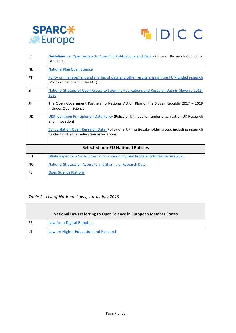



| <b>LT</b> | Guidelines on Open Access to Scientific Publications and Data (Policy of Research Council of<br>Lithuania)                                |
|-----------|-------------------------------------------------------------------------------------------------------------------------------------------|
| <b>NL</b> | <b>National Plan Open Science</b>                                                                                                         |
| PT        | Policy on management and sharing of data and other results arising from FCT-funded research<br>(Policy of national funder FCT)            |
| <b>SI</b> | National Strategy of Open Access to Scientific Publications and Research Data in Slovenia 2015-<br>2020                                   |
| SK        | The Open Government Partnership National Action Plan of the Slovak Republic 2017 - 2019<br>includes Open Science.                         |
| UK        | UKRI Common Principles on Data Policy (Policy of UK national funder organisation UK Research<br>and Innovation)                           |
|           | Concordat on Open Research Data (Policy of a UK multi-stakeholder group, including research<br>funders and higher education associations) |
|           | <b>Selected non-EU National Policies</b>                                                                                                  |
| <b>CH</b> | White Paper for a Swiss Information Provisioning and Processing Infrastructure 2020                                                       |
| <b>NO</b> | National Strategy on Access to and Sharing of Research Data                                                                               |
| <b>RS</b> | <b>Open Science Platform</b>                                                                                                              |

#### Table 2 - List of National Laws; status July 2019

 $\overline{\phantom{a}}$ 

|    | National Laws referring to Open Science in European Member States |
|----|-------------------------------------------------------------------|
| FR | Law for a Digital Republic                                        |
|    | Law on Higher Education and Research                              |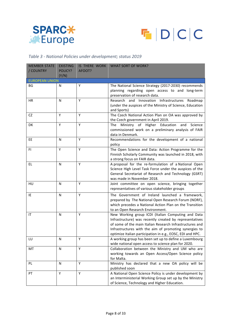



#### *Table 3 - National Policies under development; status 2019*

| <b>MEMBER STATE</b>   | <b>EXISTING</b> | IS THERE WORK | <b>WHAT SORT OF WORK?</b>                                                                                     |  |  |  |
|-----------------------|-----------------|---------------|---------------------------------------------------------------------------------------------------------------|--|--|--|
| / COUNTRY             | POLICY?         | AFOOT?        |                                                                                                               |  |  |  |
|                       | (Y/N)           |               |                                                                                                               |  |  |  |
| <b>EUROPEAN UNION</b> |                 |               |                                                                                                               |  |  |  |
| <b>BG</b>             | N               | Y             | The National Science Strategy (2017-2030) recommends<br>planning regarding open access to and long-term       |  |  |  |
|                       |                 |               | preservation of research data.                                                                                |  |  |  |
| HR                    | Ν               | Υ             | Research and Innovation Infrastructures<br>Roadmap                                                            |  |  |  |
|                       |                 |               | (under the auspices of the Ministry of Science, Education                                                     |  |  |  |
|                       |                 |               | and Sports)                                                                                                   |  |  |  |
| CZ                    | Υ               | Y             | The Czech National Action Plan on OA was approved by                                                          |  |  |  |
|                       |                 |               | the Czech government in April 2019.                                                                           |  |  |  |
| DK                    | Y               | Y             | Ministry of Higher Education<br>The<br>and<br>Science                                                         |  |  |  |
|                       |                 |               | commissioned work on a preliminary analysis of FAIR                                                           |  |  |  |
|                       |                 |               | data in Denmark.                                                                                              |  |  |  |
| EE                    | Ν               | Υ             | Recommendations for the development of a national                                                             |  |  |  |
| FI                    | Y               | Y             | policy<br>The Open Science and Data: Action Programme for the                                                 |  |  |  |
|                       |                 |               | Finnish Scholarly Community was launched in 2018, with                                                        |  |  |  |
|                       |                 |               | a strong focus on FAIR data.                                                                                  |  |  |  |
| EL.                   | N               | Y             | A proposal for the re-formulation of a National Open                                                          |  |  |  |
|                       |                 |               | Science High Level Task Force under the auspices of the                                                       |  |  |  |
|                       |                 |               | General Secretariat of Research and Technology (GSRT)                                                         |  |  |  |
|                       |                 |               | was made in November 2018.                                                                                    |  |  |  |
| HU                    | Ν               | Y             | Joint committee on open science, bringing together                                                            |  |  |  |
|                       |                 |               | representatives of various stakeholder groups                                                                 |  |  |  |
| IE                    | N               | Y             | The Government of Ireland launched a framework,                                                               |  |  |  |
|                       |                 |               | prepared by The National Open Research Forum (NORF),                                                          |  |  |  |
|                       |                 |               | which precedes a National Action Plan on the Transition                                                       |  |  |  |
|                       |                 |               | to an Open Research Environment.                                                                              |  |  |  |
| IT                    | Ν               | Y             | New Working group ICDI (Italian Computing and Data<br>Infrastructure) was recently created by representatives |  |  |  |
|                       |                 |               | of some of the main Italian Research Infrastructures and                                                      |  |  |  |
|                       |                 |               | Infrastructures with the aim of promoting synergies to                                                        |  |  |  |
|                       |                 |               | optimize Italian participation in e.g., EOSC, EDI and HPC.                                                    |  |  |  |
| LU                    | N               | Y             | A working group has been set up to define a Luxembourg                                                        |  |  |  |
|                       |                 |               | wide national open access to science plan for 2020.                                                           |  |  |  |
| MT                    | N               | Y             | Collaboration between the Ministry and UM who are                                                             |  |  |  |
|                       |                 |               | working towards an Open Access/Open Science policy                                                            |  |  |  |
|                       |                 |               | for Malta.                                                                                                    |  |  |  |
| PL.                   | N               | Υ             | Ministry has declared that a new OA policy will be                                                            |  |  |  |
| PT                    | Y               | Υ             | published soon<br>A National Open Science Policy is under development by                                      |  |  |  |
|                       |                 |               | an Interministerial Working Group set up by the Ministry                                                      |  |  |  |
|                       |                 |               | of Science, Technology and Higher Education.                                                                  |  |  |  |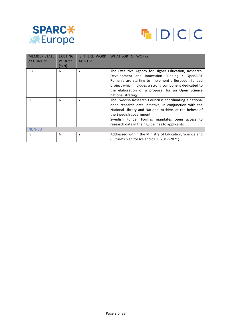



| <b>MEMBER STATE</b><br>/ COUNTRY | <b>EXISTING</b><br>POLICY?<br>(Y/N) | <b>IS THERE WORK</b><br>AFOOT? | <b>WHAT SORT OF WORK?</b>                                                                                                                                                                                                                                                                                    |
|----------------------------------|-------------------------------------|--------------------------------|--------------------------------------------------------------------------------------------------------------------------------------------------------------------------------------------------------------------------------------------------------------------------------------------------------------|
| RO.                              | N                                   | Υ                              | The Executive Agency for Higher Education, Research,<br>Development and Innovation Funding / OpenAIRE<br>Romania are starting to implement a European funded<br>project which includes a strong component dedicated to<br>the elaboration of a proposal for an Open Science<br>national strategy.            |
| <b>SE</b>                        | N                                   | Υ                              | The Swedish Research Council is coordinating a national<br>open research data initiative, in conjunction with the<br>National Library and National Archive, at the behest of<br>the Swedish government.<br>Swedish Funder Formas mandates open access to<br>research data in their guidelines to applicants. |
| <b>NON-EU</b>                    |                                     |                                |                                                                                                                                                                                                                                                                                                              |
| IS                               | N                                   | Υ                              | Addressed within the Ministry of Education, Science and<br>Culture's plan for Icelandic HE (2017-2021)                                                                                                                                                                                                       |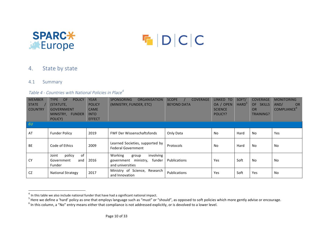



#### 4. State by state

#### 4.1 Summary

#### Table 4 - Countries with National Policies in Place<sup>4</sup>

| <b>MEMBER</b><br><b>STATE</b><br><b>COUNTRY</b> | <b>POLICY</b><br><b>TYPE</b><br><b>OF</b><br>(STATUTE,<br><b>GOVERNMENT</b><br>MINISTRY, FUNDER<br>POLICY) | <b>YEAR</b><br><b>POLICY</b><br><b>CAME</b><br><b>INTO</b><br><b>EFFECT</b> | <b>ORGANISATION</b><br><b>SPONSORING</b><br>(MINISTRY, FUNDER, ETC)                    | <b>COVERAGE</b><br><b>SCOPE</b><br><b>BEYOND DATA</b> | <b>LINKED</b><br>TO<br>OA / OPEN<br><b>SCIENCE</b><br>POLICY? | SOFT/<br>HARD <sup>5</sup> | <b>COVERAGE</b><br>OF -<br><b>SKILLS</b><br><b>OR</b><br><b>TRAINING?</b> | <b>MONITORING</b><br>AND/<br><b>OR</b><br><b>COMPLIANCE</b> <sup>b</sup> |
|-------------------------------------------------|------------------------------------------------------------------------------------------------------------|-----------------------------------------------------------------------------|----------------------------------------------------------------------------------------|-------------------------------------------------------|---------------------------------------------------------------|----------------------------|---------------------------------------------------------------------------|--------------------------------------------------------------------------|
| EU                                              |                                                                                                            |                                                                             |                                                                                        |                                                       |                                                               |                            |                                                                           |                                                                          |
| AT                                              | <b>Funder Policy</b>                                                                                       | 2019                                                                        | <b>FWF Der Wissenschaftsfonds</b>                                                      | Only Data                                             | <b>No</b>                                                     | Hard                       | No                                                                        | Yes                                                                      |
| <b>BE</b>                                       | Code of Ethics                                                                                             | 2009                                                                        | Learned Societies, supported by<br><b>Federal Government</b>                           | Protocols                                             | No                                                            | Hard                       | <b>No</b>                                                                 | <b>No</b>                                                                |
| <b>CY</b>                                       | of<br>policy<br>Joint<br>Government<br>and<br>Funder                                                       | 2016                                                                        | Working<br>involving<br>group<br>ministry,<br>funder<br>government<br>and universities | <b>Publications</b>                                   | Yes                                                           | Soft                       | No                                                                        | No                                                                       |
| <b>CZ</b>                                       | <b>National Strategy</b>                                                                                   | 2017                                                                        | Ministry of Science, Research<br>and Innovation                                        | Publications                                          | Yes                                                           | Soft                       | Yes                                                                       | No                                                                       |

 $4$  In this table we also include national funder that have had a significant national impact.

 $5$  Here we define a 'hard' policy as one that employs language such as "must" or "should", as opposed to soft policies which more gently advise or encourage.<br>  $6$  In this column, a "No" entry means either that compliance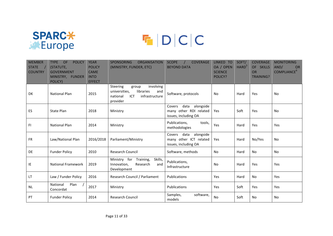

# $F | D | C | C$

| <b>MEMBER</b><br><b>STATE</b><br><b>COUNTRY</b> | <b>POLICY</b><br><b>TYPE</b><br><b>OF</b><br>(STATUTE,<br><b>GOVERNMENT</b><br>MINISTRY, FUNDER<br>POLICY) | <b>YEAR</b><br><b>POLICY</b><br><b>CAME</b><br><b>INTO</b><br><b>EFFECT</b> | <b>SPONSORING</b><br><b>ORGANISATION</b><br>(MINISTRY, FUNDER, ETC)                                                  | <b>COVERAGE</b><br><b>SCOPE</b><br><b>BEYOND DATA</b>                         | LINKED TO<br>OA / OPEN<br><b>SCIENCE</b><br>POLICY? | SOFT/<br>HARD <sup>5</sup> | <b>COVERAGE</b><br>OF SKILLS<br><b>OR</b><br><b>TRAINING?</b> | <b>MONITORING</b><br>AND/<br><b>OR</b><br>COMPLIANCE <sup>6</sup> |
|-------------------------------------------------|------------------------------------------------------------------------------------------------------------|-----------------------------------------------------------------------------|----------------------------------------------------------------------------------------------------------------------|-------------------------------------------------------------------------------|-----------------------------------------------------|----------------------------|---------------------------------------------------------------|-------------------------------------------------------------------|
| DK                                              | <b>National Plan</b>                                                                                       | 2015                                                                        | involving<br>Steering<br>group<br>universities,<br>libraries<br>and<br>ICT<br>infrastructure<br>national<br>provider | Software, protocols                                                           | <b>No</b>                                           | Hard                       | Yes                                                           | No                                                                |
| ES                                              | <b>State Plan</b>                                                                                          | 2018                                                                        | Ministry                                                                                                             | data<br>alongside<br>Covers<br>many other RDI related<br>issues, including OA | Yes                                                 | Soft                       | Yes                                                           | No                                                                |
| FI.                                             | <b>National Plan</b>                                                                                       | 2014                                                                        | Ministry                                                                                                             | Publications,<br>tools,<br>methodologies                                      | Yes                                                 | Hard                       | Yes                                                           | Yes                                                               |
| <b>FR</b>                                       | Law/National Plan                                                                                          | 2016/2018                                                                   | Parliament/Ministry                                                                                                  | data<br>alongside<br>Covers<br>many other ICT related<br>issues, including OA | Yes                                                 | Hard                       | No/Yes                                                        | <b>No</b>                                                         |
| <b>DE</b>                                       | <b>Funder Policy</b>                                                                                       | 2010                                                                        | <b>Research Council</b>                                                                                              | Software, methods                                                             | <b>No</b>                                           | Hard                       | <b>No</b>                                                     | <b>No</b>                                                         |
| IE                                              | <b>National Framework</b>                                                                                  | 2019                                                                        | Ministry for<br>Training,<br>Skills,<br>Innovation,<br>Research<br>and<br>Development                                | Publications,<br>Infrastructure                                               | No                                                  | Hard                       | Yes                                                           | Yes                                                               |
| LT                                              | Law / Funder Policy                                                                                        | 2016                                                                        | Research Council / Parliament                                                                                        | <b>Publications</b>                                                           | Yes                                                 | Hard                       | No                                                            | Yes                                                               |
| <b>NL</b>                                       | Plan<br>National<br>Concordat                                                                              | 2017                                                                        | Ministry                                                                                                             | Publications                                                                  | Yes                                                 | Soft                       | Yes                                                           | Yes                                                               |
| PT                                              | <b>Funder Policy</b>                                                                                       | 2014                                                                        | <b>Research Council</b>                                                                                              | Samples,<br>software,<br>models                                               | <b>No</b>                                           | Soft                       | No                                                            | No                                                                |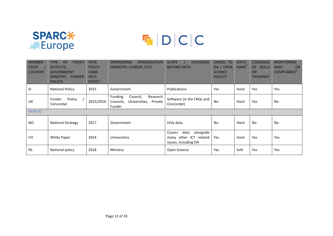

## FDCC

| <b>MEMBER</b><br><b>STATE</b><br><b>COUNTRY</b> | <b>POLICY</b><br><b>TYPE</b><br><b>OF</b><br>(STATUTE,<br><b>GOVERNMENT</b><br>MINISTRY, FUNDER<br>POLICY) | <b>YEAR</b><br><b>POLICY</b><br><b>CAME</b><br><b>INTO</b><br><b>EFFECT</b> | <b>SPONSORING</b><br><b>ORGANISATION</b><br>(MINISTRY, FUNDER, ETC)             | <b>COVERAGE</b><br><b>SCOPE</b><br><b>BEYOND DATA</b>                         | LINKED TO<br>OA / OPEN<br><b>SCIENCE</b><br>POLICY? | SOFT/<br>HARD <sup>5</sup> | <b>COVERAGE</b><br>OF .<br><b>SKILLS</b><br>OR<br><b>TRAINING?</b> | <b>MONITORING</b><br>AND/<br><b>OR</b><br><b>COMPLIANCE</b> <sup>6</sup> |
|-------------------------------------------------|------------------------------------------------------------------------------------------------------------|-----------------------------------------------------------------------------|---------------------------------------------------------------------------------|-------------------------------------------------------------------------------|-----------------------------------------------------|----------------------------|--------------------------------------------------------------------|--------------------------------------------------------------------------|
| SI                                              | <b>National Policy</b>                                                                                     | 2015                                                                        | Government                                                                      | <b>Publications</b>                                                           | <b>Yes</b>                                          | Hard                       | Yes                                                                | Yes                                                                      |
| UK                                              | Policy<br>Funder<br>Concordat                                                                              | 2015/2016                                                                   | Funding<br>Research<br>Council,<br>Councils,<br>Universities, Private<br>Funder | Software (in the FAQs and<br>Concordat)                                       | <b>No</b>                                           | Hard                       | Yes                                                                | <b>No</b>                                                                |
| <b>NON-EU</b>                                   |                                                                                                            |                                                                             |                                                                                 |                                                                               |                                                     |                            |                                                                    |                                                                          |
| <b>NO</b>                                       | <b>National Strategy</b>                                                                                   | 2017                                                                        | Government                                                                      | Only data                                                                     | <b>No</b>                                           | Hard                       | <b>No</b>                                                          | <b>No</b>                                                                |
| <b>CH</b>                                       | White Paper                                                                                                | 2014                                                                        | Universities                                                                    | data<br>alongside<br>Covers<br>many other ICT related<br>issues, including OA | Yes                                                 | Hard                       | Yes                                                                | Yes                                                                      |
| <b>RS</b>                                       | National policy                                                                                            | 2018                                                                        | Ministry                                                                        | Open Science                                                                  | Yes                                                 | Soft                       | Yes                                                                | Yes                                                                      |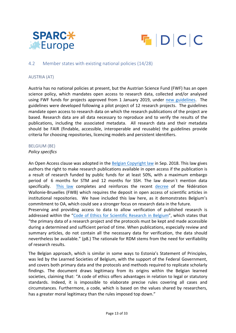



#### 4.2 Member states with existing national policies (14/28)

#### AUSTRIA (AT)

Austria has no national policies at present, but the Austrian Science Fund (FWF) has an open science policy, which mandates open access to research data, collected and/or analysed using FWF funds for projects approved from 1 January 2019, under new guidelines. The guidelines were developed following a pilot project of 12 research projects. The guidelines mandate open access to research data on which the research publications of the project are based. Research data are all data necessary to reproduce and to verify the results of the publications, including the associated metadata. All research data and their metadata should be FAIR (findable, accessible, interoperable and reusable) the guidelines provide criteria for choosing repositories, licencing models and persistent identifiers.

#### BELGIUM (BE)

#### *Policy specifics*

An Open Access clause was adopted in the Belgian Copyright law in Sep. 2018. This law gives authors the right to make research publications available in open access if the publication is a result of research funded by public funds for at least 50%, with a maximum embargo period of 6 months for STM and 12 months for SSH. The law doesn't mention data specifically. This law completes and reinforces the recent decree of the fédération Wallonie-Bruxelles (FWB) which requires the deposit in open access of scientific articles in institutional repositories. We have included this law here, as it demonstrates Belgium's commitment to OA, which could see a stronger focus on research data in the future.

Preserving and providing access to data to allow verification of published research is addressed within the "Code of Ethics for Scientific Research in Belgium", which states that "the primary data of a research project and the protocols must be kept and made accessible during a determined and sufficient period of time. When publications, especially review and summary articles, do not contain all the necessary data for verification, the data should nevertheless be available." (p8.) The rationale for RDM stems from the need for verifiability of research results.

The Belgian approach, which is similar in some ways to Estonia's Statement of Principles, was led by the Learned Societies of Belgium, with the support of the Federal Government, and covers both primary data and the protocols and methods required to replicate scholarly findings. The document draws legitimacy from its origins within the Belgian learned societies, claiming that: "A code of ethics offers advantages in relation to legal or statutory standards. Indeed, it is impossible to elaborate precise rules covering all cases and circumstances. Furthermore, a code, which is based on the values shared by researchers, has a greater moral legitimacy than the rules imposed top down."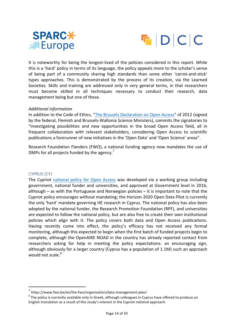



It is noteworthy for being the longest-lived of the policies considered in this report. While this is a 'hard' policy in terms of its language, the policy appeals more to the scholar's sense of being part of a community sharing high standards than some other 'carrot-and-stick' types approaches. This is demonstrated by the process of its creation, via the Learned Societies. Skills and training are addressed only in very general terms, in that researchers must become skilled in all techniques necessary to conduct their research, data management being but one of these.

#### *Additional information*

In addition to the Code of Ethics, "The Brussels Declaration on Open Access" of 2012 (signed by the federal, Flemish and Brussels-Wallonia Science Ministers), commits the signatories to "investigating possibilities and new opportunities in the broad Open Access field, all in frequent collaboration with relevant stakeholders, considering Open Access to scientific publications a forerunner of new initiatives in the 'Open Data' and 'Open Science' areas".

Research Foundation Flanders (FWO), a national funding agency now mandates the use of DMPs for all projects funded by the agency.<sup>7</sup>

#### CYPRUS (CY)

The Cypriot national policy for Open Access was developed via a working group including government, national funder and universities, and approved at Government level in 2016, although – as with the Portuguese and Norwegian policies – it is important to note that the Cypriot policy encourages without mandating; the Horizon 2020 Open Data Pilot is currently the only 'hard' mandate governing HE research in Cyprus. The national policy has also been adopted by the national funder, the Research Promotion Foundation (RPF), and universities are expected to follow the national policy, but are also free to create their own institutional policies which align with it. The policy covers both data and Open Access publications. Having recently come into effect, the policy's efficacy has not received any formal monitoring, although this expected to begin when the first batch of funded projects begin to complete, although the OpenAIRE NOAD in the country has already reported contact from researchers asking for help in meeting the policy expectations: an encouraging sign, although obviously for a larger country (Cyprus has a population of 1.1M) such an approach would not scale.<sup>8</sup>

 

<sup>7</sup> https://www.fwo.be/en/the-fwo/organisation/data-management-plan/

 $8$  The policy is currently available only in Greek, although colleagues in Cyprus have offered to produce an English translation as a result of this study's interest in the Cypriot national approach.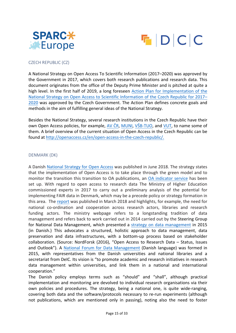



#### CZECH REPUBLIC (CZ)

A National Strategy on Open Access To Scientific Information (2017–2020) was approved by the Government in 2017, which covers both research publications and research data. This document originates from the office of the Deputy Prime Minister and is pitched at quite a high level. In the first half of 2019, a long foreseen Action Plan for Implementation of the National Strategy on Open Access to Scientific Information of the Czech Republic for 2017– 2020 was approved by the Czech Government. The Action Plan defines concrete goals and methods in the aim of fulfilling general ideas of the National Strategy.

Besides the National Strategy, several research institutions in the Czech Republic have their own Open Access policies, for example, AV ČR, MUNI, VŠB-TUO, and VUT, to name some of them. A brief overview of the current situation of Open Access in the Czech Republic can be found at http://openaccess.cz/en/open-access-in-the-czech-republic/.

#### DENMARK (DK)

A Danish National Strategy for Open Access was published in June 2018. The strategy states that the implementation of Open Access is to take place through the green model and to monitor the transition this transition to OA publications, an OA indicator service has been set up. With regard to open access to research data The Ministry of Higher Education commissioned experts in 2017 to carry out a preliminary analysis of the potential for implementing FAIR data in Denmark, which may be a precede policy or strategy formation in this area. The report was published in March 2018 and highlights, for example, the need for national co-ordination and cooperation across research actors, libraries and research funding actors. The ministry webpage refers to a longstanding tradition of data management and refers back to work carried out in 2014 carried out by the Steering Group for National Data Management, which presented a strategy on data management in 2015 (in Danish.) This advocates a structured, holistic approach to data management, data preservation and data infrastructures, with a bottom-up process based on stakeholder collaboration. (Source: NordForsk (2016), "Open Access to Research Data - Status, Issues and Outlook"). A National Forum for Data Management (Danish language) was formed in 2015, with representatives from the Danish universities and national libraries and a secretariat from DeIC. Its vision is "to promote academic and research initiatives in research data management within universities, and link them in a national and international cooperation."

The Danish policy employs terms such as "should" and "shall", although practical implementation and monitoring are devolved to individual research organisations via their own policies and procedures. The strategy, being a national one, is quite wide-ranging, covering both data and the software/protocols necessary to re-run experiments (although not publications, which are mentioned only in passing), noting also the need to foster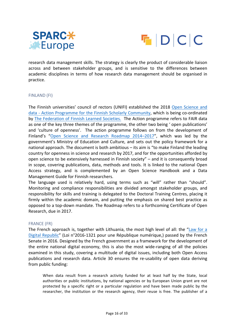



research data management skills. The strategy is clearly the product of considerable liaison across and between stakeholder groups, and is sensitive to the differences between academic disciplines in terms of how research data management should be organised in practice. 

#### FINLAND (FI)

The Finnish universities' council of rectors (UNIFI) established the 2018 Open Science and data - Action Programme for the Finnish Scholarly Community, which is being co-ordinated by The Federation of Finnish Learned Societies. The Action programme refers to FAIR data as one of the key three themes of the programme, the other two being ' open publications' and 'culture of openness'. The action programme follows on from the development of Finland's "Open Science and Research Roadmap 2014–2017", which was led by the government's Ministry of Education and Culture, and sets out the policy framework for a national approach. The document is both ambitious  $-$  its aim is "to make Finland the leading country for openness in science and research by 2017, and for the opportunities afforded by open science to be extensively harnessed in Finnish society"  $-$  and it is consequently broad in scope, covering publications, data, methods and tools. It is linked to the national Open Access strategy, and is complemented by an Open Science Handbook and a Data Management Guide for Finnish researchers.

The language used is relatively hard, using terms such as "will" rather than "should". Monitoring and compliance responsibilities are divided amongst stakeholder groups, and responsibility for skills and training is delegated to the Doctoral Training Centres, placing it firmly within the academic domain, and putting the emphasis on shared best practice as opposed to a top-down mandate. The Roadmap refers to a forthcoming Certificate of Open Research, due in 2017.

#### FRANCE (FR)

The French approach is, together with Lithuania, the most high level of all: the "Law for a Digital Republic" (Loi n°2016-1321 pour une République numérique,) passed by the French Senate in 2016. Designed by the French government as a framework for the development of the entire national digital economy, this is also the most wide-ranging of all the policies examined in this study, covering a multitude of digital issues, including both Open Access publications and research data. Article 30 ensures the re-usability of open data deriving from public funding:

When data result from a research activity funded for at least half by the State, local authorities or public institutions, by national agencies or by European Union grant are not protected by a specific right or a particular regulation and have been made public by the researcher, the institution or the research agency, their reuse is free. The publisher of a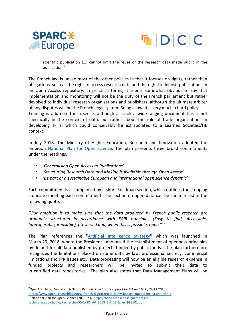



scientific publication [...] cannot limit the reuse of the research data made public in the publication.9

The French law is unlike most of the other policies in that it focuses on rights, rather than obligations, such as the right to access research data and the right to deposit publications in an Open Access repository. In practical terms, it seems somewhat obvious to say that implementation and monitoring will not be the duty of the French parliament but rather devolved to individual research organisations and publishers, although the ultimate arbiter of any disputes will be the French legal system. Being a law, it is very much a hard policy.

Training is addressed in a sense, although as such a wide-ranging document this is not specifically in the context of data, but rather about the role of trade organisations in developing skills, which could conceivably be extrapolated to a Learned Societies/HE context.

In July 2018, The Ministry of Higher Education, Research and Innovation adopted the ambition National Plan for Open Science. The plan presents three broad commitments under the headings:

- *'Generalising Open Access to Publications'*
- *'Structuring Research Data and Making it Available through Open Access'*
- *'Be part of a sustainable European and international open science dynamic'*

Each commitment is accompanied by a short Roadmap section, which outlines the stepping stones to meeting each commitment. The section on open data can be summarised in the following quote:

*"Our ambition is to make sure that the data produced by French public research are gradually structured in accordance with FAIR principles (Easy to find, Accessible, Interoperable, Reusable), preserved and, when this is possible, open.*"<sup>10</sup>

The Plan references the "Artificial Intelligence Strategy" which was launched in March 29, 2018, where the President announced the establishment of openness principles by default for all data published by projects funded by public funds. The plan furthermore recognizes the limitations placed on some data by law, professional secrecy, commercial limitations and IPR issues etc. Data processing will now be an eligible research expense in funded projects and researchers will be invited to submit their data to in certified data repositories. The plan also states that Data Management Plans will be

 <sup>9</sup> OpenAIRE blog, *New French Digital Republic Law boosts support for OA and TDM,* 29.11.2016. https://www.openaire.eu/blogs/new-french-digital-republic-law-boosts-support-for-oa-and-tdm-1<sup>10</sup><br><sup>10</sup> National Plan for Open Science (2018) p.6. http://cache.media.enseignementsuprecherche.gouv.fr/file/Recherche/50/1/SO\_A4\_2018\_EN\_01\_leger\_982501.pdf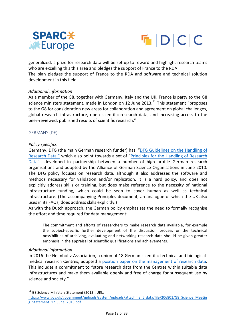



generalized; a prize for research data will be set up to reward and highlight research teams who are excelling this this area and pledges the support of France to the RDA The plan pledges the support of France to the RDA and software and technical solution development in this field.

#### *Additional information*

As a member of the G8, together with Germany, Italy and the UK, France is party to the G8 science ministers statement, made in London on 12 June  $2013$ .<sup>11</sup> This statement "proposes to the G8 for consideration new areas for collaboration and agreement on global challenges, global research infrastructure, open scientific research data, and increasing access to the peer-reviewed, published results of scientific research."

#### GERMANY (DE)

#### *Policy specifics*

Germany, DFG (the main German research funder) has "DFG Guidelines on the Handling of Research Data," which also point towards a set of "Principles for the Handling of Research Data" developed in partnership between a number of high profile German research organisations and adopted by the Alliance of German Science Organisations in June 2010. The DFG policy focuses on research data, although it also addresses the software and methods necessary for validation and/or replication. It is a hard policy, and does not explicitly address skills or training, but does make reference to the necessity of national infrastructure funding, which could be seen to cover human as well as technical infrastructure. (The accompanying Principles document, an analogue of which the UK also uses in its FAQs, does address skills explicitly.)

As with the Dutch approach, the German policy emphasises the need to formally recognise the effort and time required for data management:

The commitment and efforts of researchers to make research data available, for example the subject-specific further development of the discussion process or the technical possibilities of archiving, evaluating and networking research data should be given greater emphasis in the appraisal of scientific qualifications and achievements.

#### *Additional information*

In 2016 the Helmholtz Association, a union of 18 German scientific-technical and biologicalmedical research Centres, adopted a position paper on the management of research data. This includes a commitment to "store research data from the Centres within suitable data infrastructures and make them available openly and free of charge for subsequent use by science and society."

 $11$  G8 Science Ministers Statement (2013), URL:

https://www.gov.uk/government/uploads/system/uploads/attachment\_data/file/206801/G8\_Science\_Meetin g\_Statement\_12\_June\_2013.pdf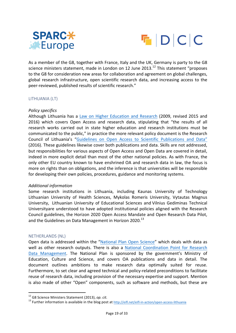



As a member of the G8, together with France, Italy and the UK, Germany is party to the G8 science ministers statement, made in London on 12 June 2013.<sup>12</sup> This statement "proposes" to the G8 for consideration new areas for collaboration and agreement on global challenges, global research infrastructure, open scientific research data, and increasing access to the peer-reviewed, published results of scientific research."

#### LITHUANIA (LT)

#### *Policy specifics*

Although Lithuania has a Law on Higher Education and Research (2009, revised 2015 and 2016) which covers Open Access and research data, stipulating that "the results of all research works carried out in state higher education and research institutions must be communicated to the public," in practice the more relevant policy document is the Research Council of Lithuania's "Guidelines on Open Access to Scientific Publications and Data" (2016). These guidelines likewise cover both publications and data. Skills are not addressed, but responsibilities for various aspects of Open Access and Open Data are covered in detail, indeed in more explicit detail than most of the other national policies. As with France, the only other EU country known to have enshrined OA and research data in law, the focus is more on rights than on obligations, and the inference is that universities will be responsible for developing their own policies, procedures, guidance and monitoring systems.

#### *Additional information*

Some research institutions in Lithuania, including Kaunas University of Technology Lithuanian University of Health Sciences, Mykolas Romeris University, Vytautas Magnus University, Lithuanian University of Educational Sciences and Vilnius Gediminas Technical Universityare understood to have adopted institutional policies aligned with the Research Council guidelines, the Horizon 2020 Open Access Mandate and Open Research Data Pilot, and the Guidelines on Data Management in Horizon 2020.<sup>13</sup>

#### NETHERLANDS (NL)

Open data is addressed within the "National Plan Open Science" which deals with data as well as other research outputs. There is also a National Coordination Point for Research Data Management. The National Plan is sponsored by the government's Ministry of Education, Culture and Science, and covers OA publications and data in detail. The document outlines ambitions to make research data optimally suited for reuse. Furthermore, to set clear and agreed technical and policy-related preconditions to facilitate reuse of research data, including provision of the necessary expertise and support. Mention is also made of other "Open" components, such as software and methods, but these are

<sup>&</sup>lt;sup>12</sup> G8 Science Ministers Statement (2013), *op. cit.* 13 Further information / open-access-lithuania is available in the blog post at http://eifl.net/eifl-in-action/open-access-lithuania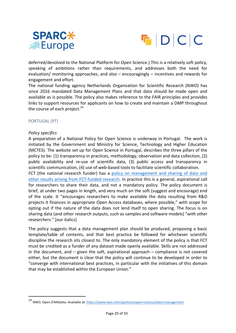



deferred/devolved to the National Platform for Open Science.) This is a relatively soft policy, speaking of ambitions rather than requirements, and addresses both the need for evaluation/ monitoring approaches, and also  $-$  encouragingly  $-$  incentives and rewards for engagement and effort.

The national funding agency Netherlands Organisation for Scientific Research (NWO) has since 2016 mandated Data Management Plans and that data should be made open and available as is possible. The policy also makes reference to the FAIR principles and provides links to support resources for applicants on how to create and maintain a DMP throughout the course of each project. $14$ 

#### PORTUGAL (PT)

#### *Policy specifics*

 

A preparation of a National Policy for Open Science is underway in Portugal. The work is initiated by the Government and Ministry for Science, Technology and Higher Education (MCTES). The website set up for Open Science in Portugal, describes the three pillars of the policy to be: (1) transparency in practices, methodology, observation and data collection, (2) public availability and re-use of scientific data, (3) public access and transparency in scientific communication, (4) use of web-based tools to facilitate scientific collaboration. FCT (the national research funder) has a policy on management and sharing of data and other results arising from FCT-funded research. In practice this is a general, aspirational call

for researchers to share their data, and not a mandatory policy. The policy document is brief, at under two pages in length, and very much on the soft (suggest and encourage) end of the scale. It "encourages researchers to make available the data resulting from R&D projects it finances in appropriate Open Access databases, where possible," with scope for opting out if the nature of the data does not lend itself to open sharing. The focus is on sharing data (and other research outputs, such as samples and software models) "with other *researchers.*" [our italics]

The policy suggests that a data management plan should be produced, proposing a basic template/table of contents, and that best practice be followed for whichever scientific discipline the research sits closest to. The only mandatory element of the policy is that FCT must be credited as a funder of any dataset made openly available. Skills are not addressed in the document, and  $-$  given the soft, aspirational approach  $-$  compliance is not covered either, but the document is clear that the policy will continue to be developed in order to "converge with international best practices, in particular with the initiatives of this domain that may be established within the European Union."

<sup>14</sup> NWO, Open (FAIR)data. Available at: https://www.nwo.nl/en/policies/open+science/data+management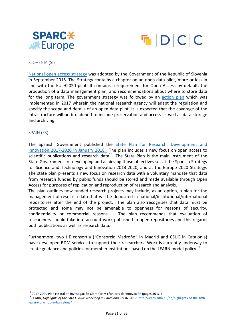



#### SLOVENIA (SI)

National open access strategy was adopted by the Government of the Republic of Slovenia in September 2015. The Strategy contains a chapter on an open data pilot, more or less in line with the EU H2020 pilot. It contains a requirement for Open Access by default, the production of a data management plan, and recommendations about where to store data for the long term. The government strategy was followed by an action plan which was implemented in 2017 wherein the national research agency will adapt the regulation and specify the scope and details of an open data pilot. It is expected that the coverage of the infrastructure will be broadened to include preservation and access as well as data storage and archiving.

#### SPAIN (ES)

The Spanish Government published the State Plan for Research, Development and Innovation 2017-2020 in January 2018. The plan includes a new focus on open access to scientific publications and research data<sup>15</sup>. The State Plan is the main instrument of the State Government for developing and achieving those objectives set at the Spanish Strategy for Science and Technology and Innovation 2013-2020, and at the Europe 2020 Strategy. The state plan presents a new focus on research data with a voluntary mandate that data from research funded by public funds should be stored and made available through Open Access for purposes of replication and reproduction of research and analysis.

The plan outlines how funded research projects may include, as an option, a plan for the management of research data that will be deposited in national/institutional/international repositories after the end of the project. The plan also recognises that data must be protected and some may not be amenable to openness for reasons of security, confidentiality or commercial reasons. The plan recommends that evaluation of researchers should take into account work published in open repositories and this regards both publications as well as research data.

Furthermore, two HE consortia ("Consorcio Madroño" in Madrid and CSUC in Catalonia) have developed RDM services to support their researchers. Work is currently underway to create guidance and policies for member institutions based on the LEARN model policy.<sup>16</sup>

<sup>&</sup>lt;sup>15</sup> 2017-2020 Plan Estatal de Investigación Científica y Técnica y de Innovación (pages 30-31) 16 LEARN, *Highlights of the fifth-*<br><sup>16</sup> LEARN, *Highlights of the Fifth LEARN Workshop in Barcelona*, 09.02.2017. http://lea learn-workshop-in-barcelona/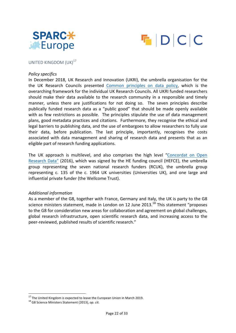



#### UNITED KINGDOM  $(UK)^{17}$

#### *Policy specifics*

In December 2018, UK Research and Innovation (UKRI), the umbrella organisation for the the UK Research Councils presented Common principles on data policy, which is the overarching framework for the individual UK Research Councils. All UKRI funded researchers should make their data available to the research community in a responsible and timely manner, unless there are justifications for not doing so. The seven principles describe publically funded research data as a "public good" that should be made openly available with as few restrictions as possible. The principles stipulate the use of data management plans, good metadata practices and citations. Furthermore, they recognise the ethical and legal barriers to publishing data, and the use of embargoes to allow researchers to fully use their data, before publication. The last principle, importantly, recognises the costs associated with data management and sharing of research data and presents that as an eligible part of research funding applications.

The UK approach is multilevel, and also comprises the high level "Concordat on Open Research Data" (2016), which was signed by the HE funding council (HEFCE), the umbrella group representing the seven national research funders (RCUK), the umbrella group representing c. 135 of the c. 1964 UK universities (Universities UK), and one large and influential private funder (the Wellcome Trust).

#### *Additional information*

As a member of the G8, together with France, Germany and Italy, the UK is party to the G8 science ministers statement, made in London on 12 June 2013.<sup>18</sup> This statement "proposes to the G8 for consideration new areas for collaboration and agreement on global challenges, global research infrastructure, open scientific research data, and increasing access to the peer-reviewed, published results of scientific research."

<sup>&</sup>lt;sup>17</sup> The United Kingdom is expected to leave the European Union in March 2019.<br><sup>18</sup> G8 Science Ministers Statement (2013), *op. cit.*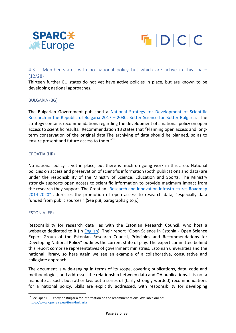



#### 4.3 Member states with no national policy but which are active in this space (12/28)

Thirteen further EU states do not yet have active policies in place, but are known to be developing national approaches.

#### BULGARIA (BG)

The Bulgarian Government published a National Strategy for Development of Scientific Research in the Republic of Bulgaria  $2017 - 2030$ . Better Science for Better Bulgaria. The strategy contains recommendations regarding the development of a national policy on open access to scientific results. Recommendation 13 states that "Planning open access and longterm conservation of the original data.The archiving of data should be planned, so as to ensure present and future access to them."<sup>19</sup>

#### CROATIA (HR)

No national policy is yet in place, but there is much on-going work in this area. National policies on access and preservation of scientific information (both publications and data) are under the responsibility of the Ministry of Science, Education and Sports. The Ministry strongly supports open access to scientific information to provide maximum impact from the research they support. The Croatian "Research and Innovation Infrastructures Roadmap 2014-2020" addresses the promotion of open access to research data, "especially data funded from public sources." (See p.8, paragraphs g to j.)

#### ESTONIA (EE)

Responsibility for research data lies with the Estonian Research Council, who host a webpage dedicated to it (in English). Their report "Open Science in Estonia - Open Science Expert Group of the Estonian Research Council, Principles and Recommendations for Developing National Policy" outlines the current state of play. The expert committee behind this report comprise representatives of government ministries, Estonian universities and the national library, so here again we see an example of a collaborative, consultative and collegiate approach.

The document is wide-ranging in terms of its scope, covering publications, data, code and methodologies, and addresses the relationship between data and OA publications. It is not a mandate as such, but rather lays out a series of (fairly strongly worded) recommendations for a national policy. Skills are explicitly addressed, with responsibility for developing

 $19$  See OpenAIRE entry on Bulgaria for information on the recommendations. Available online: https://www.openaire.eu/item/bulgaria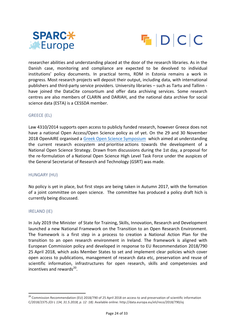



researcher abilities and understanding placed at the door of the research libraries. As in the Danish case, monitoring and compliance are expected to be devolved to individual institutions' policy documents. In practical terms, RDM in Estonia remains a work in progress. Most research projects will deposit their output, including data, with international publishers and third-party service providers. University libraries - such as Tartu and Tallinn have joined the DataCite consortium and offer data archiving services. Some research centres are also members of CLARIN and DARIAH, and the national data archive for social science data (ESTA) is a CESSDA member.

#### GREECE (EL)

Law 4310/2014 supports open access to publicly funded research, however Greece does not have a national Open Access/Open Science policy as of yet. On the 29 and 30 November 2018 OpenAIRE organised a Greek Open Science Symposium which aimed at understanding the current research ecosystem and prioritise actions towards the development of a National Open Science Strategy. Drawn from discussions during the 1st day, a proposal for the re-formulation of a National Open Science High Level Task Force under the auspices of the General Secretariat of Research and Technology (GSRT) was made.

#### HUNGARY (HU)

No policy is yet in place, but first steps are being taken in Autumn 2017, with the formation of a joint committee on open science. The committee has produced a policy draft hich is currently being discussed.

#### IRELAND (IE)

In July 2019 the Minister of State for Training, Skills, Innovation, Research and Development launched a new National Framework on the Transition to an Open Research Environment. The framework is a first step in a process to creation a National Action Plan for the transition to an open research environment in Ireland. The framework is aligned with European Commission policy and developed in response to EU Recommendation 2018/790 25 April 2018, which asks Member States to set and implement clear policies which cover open access to publications, management of research data etc, preservation and reuse of scientific information, infrastructures for open research, skills and competensies and incentives and rewards $^{20}$ .

 $20$  Commission Recommendation (EU) 2018/790 of 25 April 2018 on access to and preservation of scientific information C/2018/2375.*(OJ L 134, 31.5.2018, p. 12*–*18)*. Available online: http://data.europa.eu/eli/reco/2018/790/oj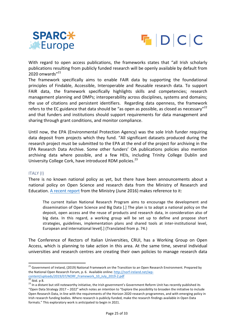



With regard to open access publications, the frameworks states that "all Irish scholarly publications resulting from publicly funded research will be openly available by default from 2020 onwards $"^{21}$ 

The framework specifically aims to enable FAIR data by supporting the foundational principles of Findable, Accessible, Interoperable and Reusable research data. To support FAIR data, the framework specifically highlights skills and competencies; research management planning and DMPs; interoperability across disciplines, systems and domains; the use of citations and persistent identifiers. Regarding data openness, the framework refers to the EC guidance that data should be "as open as possible, as closed as necessary"<sup>22</sup> and that funders and institutions should support requirements for data management and sharing through grant conditions, and monitor compliance.

Until now, the EPA (Environmental Protection Agency) was the sole Irish funder requiring data deposit from projects which they fund. "All significant datasets produced during the research project must be submitted to the EPA at the end of the project for archiving in the EPA Research Data Archive. Some other funders' OA publications policies also mention archiving data where possible, and a few HEIs, including Trinity College Dublin and University College Cork, have introduced RDM policies. $^{23}$ 

#### ITALY (I)

There is no known national policy as yet, but there have been announcements about a national policy on Open Science and research data from the Ministry of Research and Education. A recent report from the Ministry (June 2016) makes reference to it:

The current Italian National Research Program aims to encourage the development and dissemination of Open Science and Big Data [.] The plan is to adopt a national policy on the deposit, open access and the reuse of products and research data, in consideration also of big data. In this regard, a working group will be set up to define and propose short strategies, guidelines, implementation plans and shared tools at inter-institutional level, European and international level[.] (Translated from p. 74.)

The Conference of Rectors of Italian Universities, CRUI, has a Working Group on Open Access, which is planning to take action in this area. At the same time, several individual universities and research centres are creating their own policies to manage research data

<sup>&</sup>lt;sup>21</sup> Government of Ireland, (2019) National Framework on the Transition to an Open Research Environment. Prepared by the National Open Research Forum, p. 6. Available online: http://norf-ireland.net/wp-<u>content/uploads/2019/07/NORF\_Framework\_10\_July\_2019-2.pdf</u><br>
<sup>22</sup> Ibid. p 8. 23 In a distant but still noteworthy initiative, the Irish government's Government Reform Unit has recently published its

<sup>&</sup>quot;Open Data Strategy 2017 – 2022" which notes an intention to "Explore the possibility to broaden the initiative to include Open Research Data, in line with the requirements of the Horizon 2020 research programmes, and with emerging policy in Irish research funding bodies. Where research is publicly-funded, make the research findings available in Open Data formats." This exploratory work is anticipated to begin in 2021.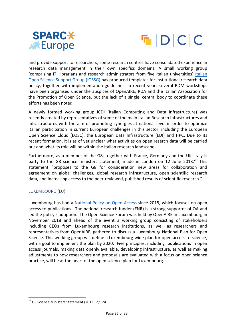



and provide support to researchers; some research centres have consolidated experience in research data management in their own specifics domains. A small working group (comprising IT, librarians and research administrators from five Italian universities) Italian Open Science Support Group (IOSSG) has produced templates for institutional research data policy, together with implementation guidelines. In recent years several RDM workshops have been organised under the auspices of OpenAIRE, RDA and the Italian Association for the Promotion of Open Science, but the lack of a single, central body to coordinate these efforts has been noted.

A newly formed working group ICDI (Italian Computing and Data Infrastructure) was recently created by representatives of some of the main Italian Research Infrastructures and Infrastructures with the aim of promoting synergies at national level in order to optimize Italian participation in current European challenges in this sector, including the European Open Science Cloud (EOSC), the European Data Infrastructure (EDI) and HPC. Due to its recent formation, it is as of yet unclear what activities on open reserch data will be carried out and what its role will be within the Italian research landscape.

Furthermore, as a member of the G8, together with France, Germany and the UK, Italy is party to the G8 science ministers statement, made in London on 12 June 2013.<sup>24</sup> This statement "proposes to the G8 for consideration new areas for collaboration and agreement on global challenges, global research infrastructure, open scientific research data, and increasing access to the peer-reviewed, published results of scientific research."

#### LUXEMBOURG (LU)

Luxembourg has had a National Policy on Open Access since 2015, which focuses on open access to publications. The national research funder (FNR) is a strong supporter of OA and led the policy's adoption. The Open Science Forum was held by OpenAIRE in Luxembourg in November 2018 and ahead of the event a working group consisting of stakeholders including CEOs from Luxembourg research institutions, as well as researchers and representatives from OpenAIRE, gathered to discuss a Luxembourg National Plan for Open Science. This working group will define a Luxembourg-wide plan for open access to science, with a goal to implement the plan by 2020. Five principles, including publications in open access journals, making data openly available, developing infrastructure, as well as making adjustments to how researchers and proposals are evaluated with a focus on open science practice, will be at the heart of the open science plan for Luxembourg.

<sup>&</sup>lt;sup>24</sup> G8 Science Ministers Statement (2013), op. cit.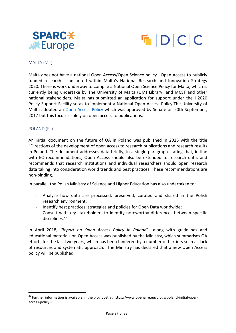



#### MALTA (MT)

Malta does not have a national Open Access/Open Science policy. Open Access to publicly funded research is anchored within Malta's National Research and Innovation Strategy 2020. There is work underway to compile a National Open Science Policy for Malta, which is currently being undertake by The University of Malta (UM) Library and MCST and other national stakeholders. Malta has submitted an application for support under the H2020 Policy Support Facility so as to implement a National Open Access Policy. The University of Malta adopted an Open Access Policy which was approved by Senate on 20th September, 2017 but this focuses solely on open access to publications.

#### POLAND (PL)

An initial document on the future of OA in Poland was published in 2015 with the title "Directions of the development of open access to research publications and research results in Poland. The document addresses data briefly, in a single paragraph stating that, in line with EC recommendations, Open Access should also be extended to research data, and recommends that research institutions and individual researchers should open research data taking into consideration world trends and best practices. These recommendations are non-binding.

In parallel, the Polish Ministry of Science and Higher Education has also undertaken to:

- Analyse how data are processed, preserved, curated and shared in the Polish research environment;
- Identify best practices, strategies and policies for Open Data worldwide;
- Consult with key stakeholders to identify noteworthy differences between specific disciplines. 25

In April 2018, 'Report on Open Access Policy in Poland' along with guidelines and educational materials on Open Access was published by the Ministry, which summarises OA efforts for the last two years, which has been hindered by a number of barriers such as lack of resources and systematic approach. The Ministry has declared that a new Open Access policy will be published.

 $25$  Further information is available in the blog post at https://www.openaire.eu/blogs/poland-initial-openaccess-policy-1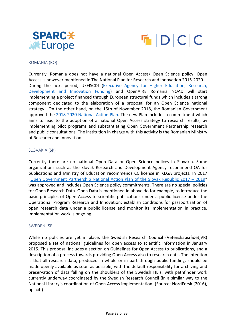



#### ROMANIA (RO)

Currently, Romania does not have a national Open Access/ Open Science policy. Open Access is however mentioned in The National Plan for Research and Innovation 2015-2020. During the next period, UEFISCDI (Executive Agency for Higher Education, Research, Development and Innovation Funding) and OpenAIRE Romania NOAD will start implementing a project financed through European structural funds which includes a strong component dedicated to the elaboration of a proposal for an Open Science national strategy. On the other hand, on the 15th of November 2018, the Romanian Government approved the 2018-2020 National Action Plan. The new Plan includes a commitment which aims to lead to the adoption of a national Open Access strategy to research results, by implementing pilot programs and substantiating Open Government Partnership research and public consultations. The institution in charge with this activity is the Romanian Ministry of Research and Innovation.

#### SLOVAKIA (SK)

Currently there are no national Open Data or Open Science polices in Slovakia. Some organizations such as the Slovak Research and Development Agency recommend OA for publications and Ministry of Education recommends CC license in KEGA projects. In 2017 "Open Government Partnership National Action Plan of the Slovak Republic 2017 - 2019" was approved and includes Open Science policy commitments. There are no special policies for Open Research Data. Open Data is mentioned in above do for example, to introduce the basic principles of Open Access to scientific publications under a public license under the Operational Program Research and Innovation; establish conditions for passportization of open research data under a public license and monitor its implementation in practice. Implementation work is ongoing.

#### SWEDEN (SE)

While no policies are yet in place, the Swedish Research Council (Vetenskapsrådet,VR) proposed a set of national guidelines for open access to scientific information in January 2015. This proposal includes a section on Guidelines for Open Access to publications, and a description of a process towards providing Open Access also to research data. The intention is that all research data, produced in whole or in part through public funding, should be made openly available as soon as possible, with the default responsibility for archiving and preservation of data falling on the shoulders of the Swedish HEIs, with pathfinder work currently underway coordinated by the Swedish Research Council (in a similar way to the National Library's coordination of Open Access implementation. (Source: NordForsk (2016), op. cit.)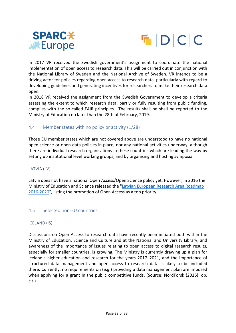



In 2017 VR received the Swedish government's assignment to coordinate the national implementation of open access to research data. This will be carried out in conjunction with the National Library of Sweden and the National Archive of Sweden. VR intends to be a driving actor for policies regarding open access to research data, particularly with regard to developing guidelines and generating incentives for researchers to make their research data open.

In 2018 VR received the assignment from the Swedish Government to develop a criteria assessing the extent to which research data, partly or fully resulting from public funding, complies with the so-called FAIR principles. The results shall be shall be reported to the Ministry of Education no later than the 28th of February, 2019.

#### 4.4 Member states with no policy or activity (1/28)

Those EU member states which are not covered above are understood to have no national open science or open data policies in place, nor any national activities underway, although there are individual research organisations in these countries which are leading the way by setting up institutional level working groups, and by organising and hosting symposia.

#### LATVIA (LV)

Latvia does not have a national Open Access/Open Science policy yet. However, in 2016 the Ministry of Education and Science released the "Latvian European Research Area Roadmap 2016-2020", listing the promotion of Open Access as a top priority.

#### 4.5 Selected non-EU countries

#### ICELAND (IS)

Discussions on Open Access to research data have recently been initiated both within the Ministry of Education, Science and Culture and at the National and University Library, and awareness of the importance of issues relating to open access to digital research results, especially for smaller countries, is growing. The Ministry is currently drawing up a plan for Icelandic higher education and research for the years 2017–2021, and the importance of structured data management and open access to research data is likely to be included there. Currently, no requirements on (e.g.) providing a data management plan are imposed when applying for a grant in the public competitive funds. (Source: NordForsk (2016), op. cit.)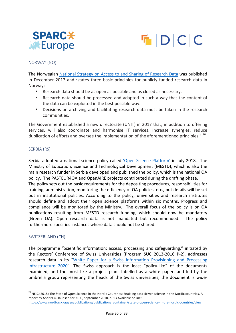



#### NORWAY (NO)

The Norwegian National Strategy on Access to and Sharing of Research Data was published in December 2017 and "states three basic principles for publicly funded research data in Norway:

- Research data should be as open as possible and as closed as necessary.
- Research data should be processed and adapted in such a way that the content of the data can be exploited in the best possible way.
- Decisions on archiving and facilitating research data must be taken in the research communities.

The Government established a new directorate (UNIT) in 2017 that, in addition to offering services, will also coordinate and harmonise IT services, increase synergies, reduce duplication of efforts and oversee the implementation of the aforementioned principles."<sup>26</sup>

#### SERBIA (RS)

Serbia adopted a national science policy called 'Open Science Platform' in July 2018. The Ministry of Education, Science and Technological Development (MESTD), which is also the main research funder in Serbia developed and published the policy, which is the national OA policy. The PASTEUR4OA and OpenAIRE projects contributed during the drafting phase.

The policy sets out the basic requirements for the depositing procedures, responsibilities for training, administration, monitoring the efficiency of OA policies, etc., but details will be set out in institutional policies. According to the policy, universities and research institutes should define and adopt their open science platforms within six months. Progress and compliance will be monitored by the Ministry. The overall focus of the policy is on OA publications resulting from MESTD research funding, which should now be mandatory (Green OA). Open research data is not mandated but recommended. The policy furthermore specifies instances where data should not be shared.

#### SWITZERLAND (CH)

The programme "Scientific information: access, processing and safeguarding," initiated by the Rectors' Conference of Swiss Universities (Program SUC 2013-2016 P-2), addresses research data in its "White Paper for a Swiss Information Provisioning and Processing Infrastructure 2020". The Swiss approach is the least "policy-like" of the documents examined, and the most like a project plan. Labelled as a white paper, and led by the umbrella group representing the heads of the Swiss universities, the document is wide-

<sup>&</sup>lt;sup>26</sup> NEIC (2018) The State of Open Science in the Nordic Countries: Enabling data-driven science in the Nordic countries. A report by Anders O. Jaunsen for NEIC, September 2018, p. 13.Available online: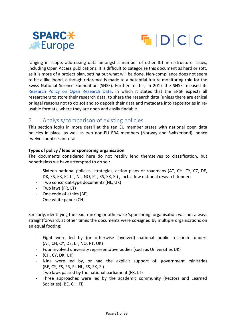



ranging in scope, addressing data amongst a number of other ICT infrastructure issues, including Open Access publications. It is difficult to categorise this document as hard or soft, as it is more of a project plan, setting out what will be done. Non-compliance does not seem to be a likelihood, although reference is made to a potential future monitoring role for the Swiss National Science Foundation (SNSF). Further to this, in 2017 the SNSF released its Research Policy on Open Research Data, in which it states that the SNSF expects all researchers to store their research data, to share the research data (unless there are ethical or legal reasons not to do so) and to deposit their data and metadata into repositories in reusable formats, where they are open and easily findable.

#### 5. Analysis/comparison of existing policies

This section looks in more detail at the ten EU member states with national open data policies in place, as well as two non-EU ERA members (Norway and Switzerland), hence twelve countries in total.

#### **Types of policy / lead or sponsoring organisation**

The documents considered here do not readily lend themselves to classification, but nonetheless we have attempted to do so.:

- Sixteen national policies, strategies, action plans or roadmaps (AT, CH, CY, CZ, DE, DK, ES, FR, FI, LT, NL, NO, PT, RS, SK, SI), incl. a few national research funders
- Two concordat-type documents (NL, UK)
- Two laws (FR, LT)
- One code of ethics (BE)
- One white paper (CH)

Similarly, identifying the lead, ranking or otherwise 'sponsoring' organisation was not always straightforward; at other times the documents were co-signed by multiple organisations on an equal footing:

- Eight were led by (or otherwise involved) national public research funders (AT, CH, CY, DE, LT, NO, PT, UK)
- Four involved university representative bodies (such as Universities UK)
- $(CH, CY, DK, UK)$
- Nine were led by, or had the explicit support of, government ministries (BE, CY, ES, FR, FI, NL, RS, SK, SI)
- Two laws passed by the national parliament (FR, LT)
- Three approaches were led by the academic community (Rectors and Learned Societies) (BE, CH, FI)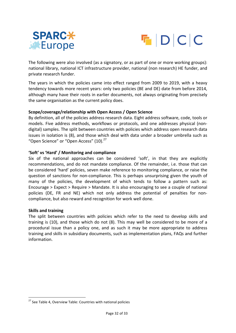



The following were also involved (as a signatory, or as part of one or more working groups): national library, national ICT infrastructure provider, national (non research) HE funder, and private research funder.

The years in which the policies came into effect ranged from 2009 to 2019, with a heavy tendency towards more recent years: only two policies (BE and DE) date from before 2014, although many have their roots in earlier documents, not always originating from precisely the same organisation as the current policy does.

#### Scope/coverage/relationship with Open Access / Open Science

By definition, all of the policies address research data. Eight address software, code, tools or models. Five address methods, workflows or protocols, and one addresses physical (nondigital) samples. The split between countries with policies which address open research data issues in isolation is (8), and those which deal with data under a broader umbrella such as "Open Science" or "Open Access" (10).<sup>27</sup>

#### 'Soft' vs 'Hard' / Monitoring and compliance

Six of the national approaches can be considered 'soft', in that they are explicitly recommendations, and do not mandate compliance. Of the remainder, i.e. those that can be considered 'hard' policies, seven make reference to monitoring compliance, or raise the question of sanctions for non-compliance. This is perhaps unsurprising given the youth of many of the policies, the development of which tends to follow a pattern such as: Encourage  $>$  Expect  $>$  Require  $>$  Mandate. It is also encouraging to see a couple of national policies (DE, FR and NE) which not only address the potential of penalties for noncompliance, but also reward and recognition for work well done.

#### **Skills and training**

The split between countries with policies which refer to the need to develop skills and training is (10), and those which do not (8). This may well be considered to be more of a procedural issue than a policy one, and as such it may be more appropriate to address training and skills in subsidiary documents, such as implementation plans, FAQs and further information. 

 $27$  See Table 4, Overview Table: Countries with national policies